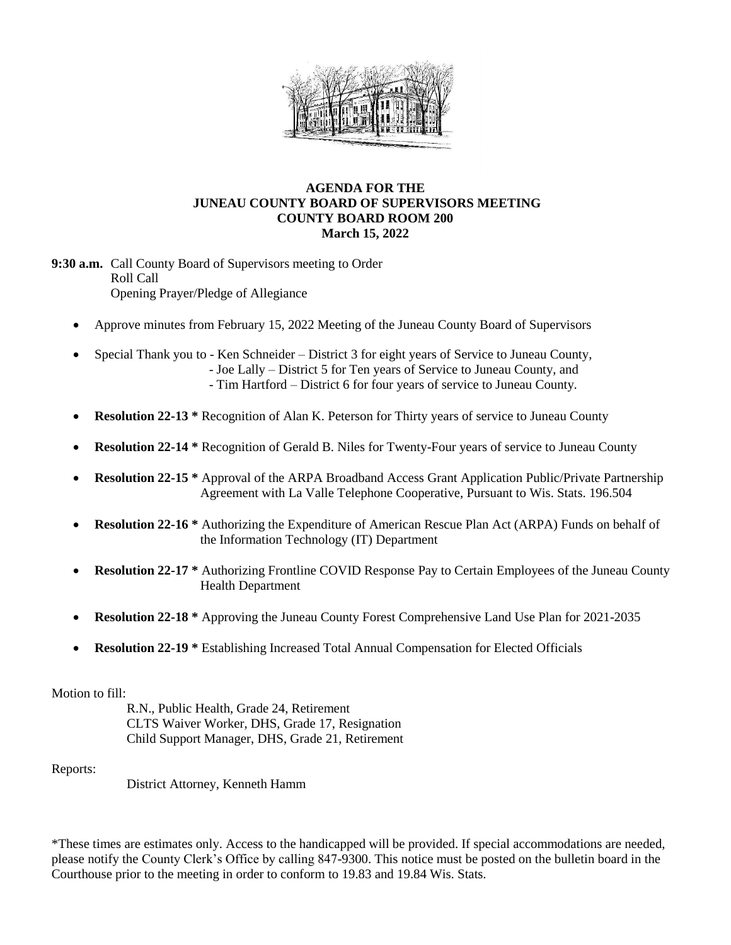

## **AGENDA FOR THE JUNEAU COUNTY BOARD OF SUPERVISORS MEETING COUNTY BOARD ROOM 200 March 15, 2022**

**9:30 a.m.** Call County Board of Supervisors meeting to Order Roll Call Opening Prayer/Pledge of Allegiance

- Approve minutes from February 15, 2022 Meeting of the Juneau County Board of Supervisors
- Special Thank you to Ken Schneider District 3 for eight years of Service to Juneau County, - Joe Lally – District 5 for Ten years of Service to Juneau County, and
	- Tim Hartford District 6 for four years of service to Juneau County.
- **Resolution 22-13** \* Recognition of Alan K. Peterson for Thirty years of service to Juneau County
- **Resolution 22-14 \*** Recognition of Gerald B. Niles for Twenty-Four years of service to Juneau County
- **Resolution 22-15 \*** Approval of the ARPA Broadband Access Grant Application Public/Private Partnership Agreement with La Valle Telephone Cooperative, Pursuant to Wis. Stats. 196.504
- **Resolution 22-16 \*** Authorizing the Expenditure of American Rescue Plan Act (ARPA) Funds on behalf of the Information Technology (IT) Department
- **Resolution 22-17 \*** Authorizing Frontline COVID Response Pay to Certain Employees of the Juneau County Health Department
- **Resolution 22-18 \*** Approving the Juneau County Forest Comprehensive Land Use Plan for 2021-2035
- **Resolution 22-19 \*** Establishing Increased Total Annual Compensation for Elected Officials

## Motion to fill:

R.N., Public Health, Grade 24, Retirement CLTS Waiver Worker, DHS, Grade 17, Resignation Child Support Manager, DHS, Grade 21, Retirement

## Reports:

District Attorney, Kenneth Hamm

\*These times are estimates only. Access to the handicapped will be provided. If special accommodations are needed, please notify the County Clerk's Office by calling 847-9300. This notice must be posted on the bulletin board in the Courthouse prior to the meeting in order to conform to 19.83 and 19.84 Wis. Stats.